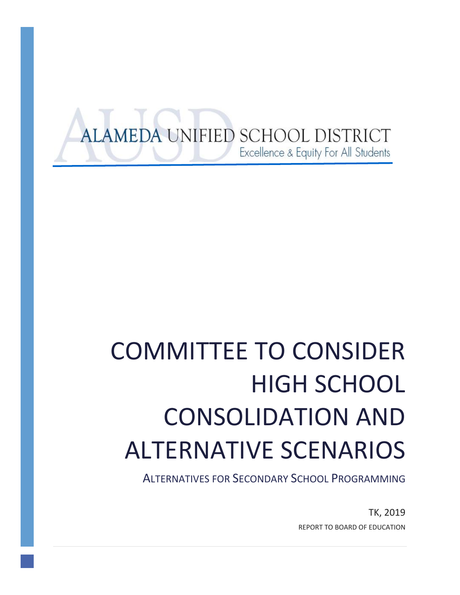# ALAMEDA UNIFIED SCHOOL DISTRICT Excellence & Equity For All Students

# COMMITTEE TO CONSIDER HIGH SCHOOL CONSOLIDATION AND ALTERNATIVE SCENARIOS

ALTERNATIVES FOR SECONDARY SCHOOL PROGRAMMING

TK, 2019 REPORT TO BOARD OF EDUCATION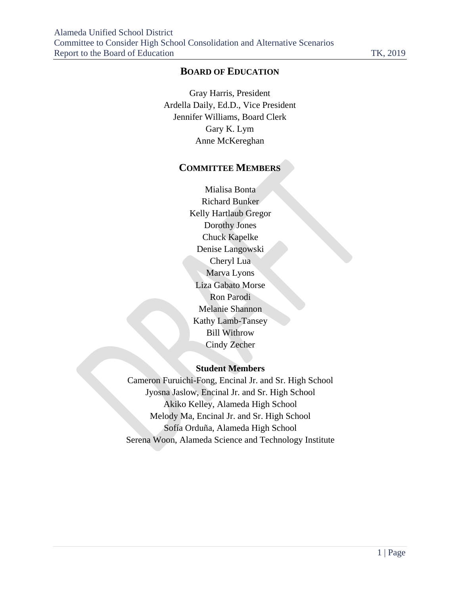## **BOARD OF EDUCATION**

Gray Harris, President Ardella Daily, Ed.D., Vice President Jennifer Williams, Board Clerk Gary K. Lym Anne McKereghan

#### **COMMITTEE MEMBERS**

Mialisa Bonta Richard Bunker Kelly Hartlaub Gregor Dorothy Jones Chuck Kapelke Denise Langowski Cheryl Lua Marva Lyons Liza Gabato Morse Ron Parodi Melanie Shannon Kathy Lamb-Tansey Bill Withrow Cindy Zecher

#### **Student Members**

Cameron Furuichi-Fong, Encinal Jr. and Sr. High School Jyosna Jaslow, Encinal Jr. and Sr. High School Akiko Kelley, Alameda High School Melody Ma, Encinal Jr. and Sr. High School Sofía Orduña, Alameda High School Serena Woon, Alameda Science and Technology Institute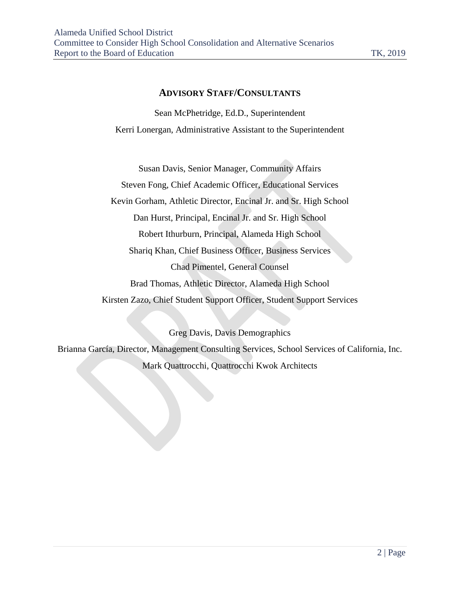#### **ADVISORY STAFF/CONSULTANTS**

Sean McPhetridge, Ed.D., Superintendent Kerri Lonergan, Administrative Assistant to the Superintendent

Susan Davis, Senior Manager, Community Affairs Steven Fong, Chief Academic Officer, Educational Services Kevin Gorham, Athletic Director, Encinal Jr. and Sr. High School Dan Hurst, Principal, Encinal Jr. and Sr. High School Robert Ithurburn, Principal, Alameda High School Shariq Khan, Chief Business Officer, Business Services Chad Pimentel, General Counsel Brad Thomas, Athletic Director, Alameda High School Kirsten Zazo, Chief Student Support Officer, Student Support Services

Greg Davis, Davis Demographics Brianna García, Director, Management Consulting Services, School Services of California, Inc. Mark Quattrocchi, Quattrocchi Kwok Architects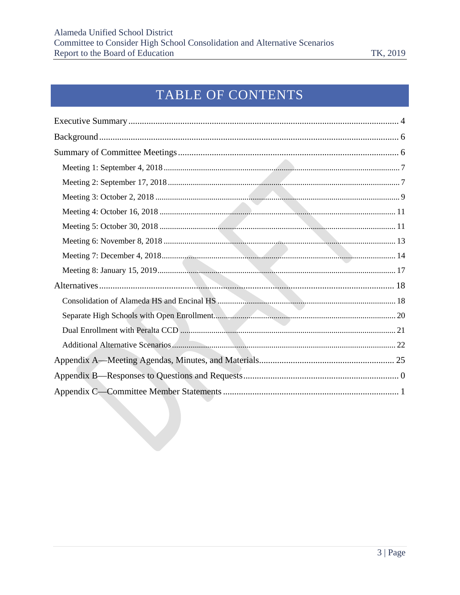# TABLE OF CONTENTS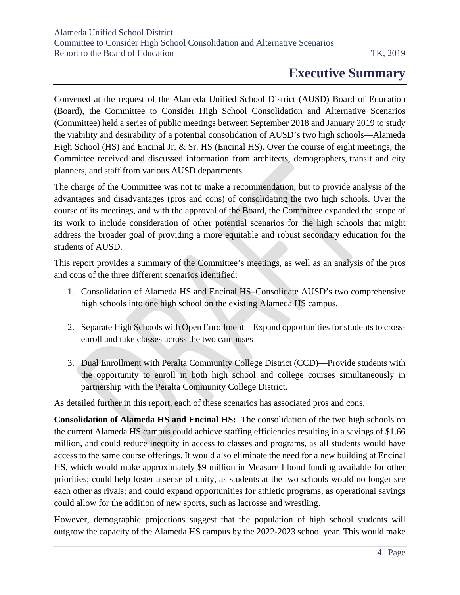## **Executive Summary**

<span id="page-4-0"></span>Convened at the request of the Alameda Unified School District (AUSD) Board of Education (Board), the Committee to Consider High School Consolidation and Alternative Scenarios (Committee) held a series of public meetings between September 2018 and January 2019 to study the viability and desirability of a potential consolidation of AUSD's two high schools—Alameda High School (HS) and Encinal Jr. & Sr. HS (Encinal HS). Over the course of eight meetings, the Committee received and discussed information from architects, demographers, transit and city planners, and staff from various AUSD departments.

The charge of the Committee was not to make a recommendation, but to provide analysis of the advantages and disadvantages (pros and cons) of consolidating the two high schools. Over the course of its meetings, and with the approval of the Board, the Committee expanded the scope of its work to include consideration of other potential scenarios for the high schools that might address the broader goal of providing a more equitable and robust secondary education for the students of AUSD.

This report provides a summary of the Committee's meetings, as well as an analysis of the pros and cons of the three different scenarios identified:

- 1. Consolidation of Alameda HS and Encinal HS–Consolidate AUSD's two comprehensive high schools into one high school on the existing Alameda HS campus.
- 2. Separate High Schools with Open Enrollment—Expand opportunities for students to crossenroll and take classes across the two campuses
- 3. Dual Enrollment with Peralta Community College District (CCD)—Provide students with the opportunity to enroll in both high school and college courses simultaneously in partnership with the Peralta Community College District.

As detailed further in this report, each of these scenarios has associated pros and cons.

**Consolidation of Alameda HS and Encinal HS:** The consolidation of the two high schools on the current Alameda HS campus could achieve staffing efficiencies resulting in a savings of \$1.66 million, and could reduce inequity in access to classes and programs, as all students would have access to the same course offerings. It would also eliminate the need for a new building at Encinal HS, which would make approximately \$9 million in Measure I bond funding available for other priorities; could help foster a sense of unity, as students at the two schools would no longer see each other as rivals; and could expand opportunities for athletic programs, as operational savings could allow for the addition of new sports, such as lacrosse and wrestling.

However, demographic projections suggest that the population of high school students will outgrow the capacity of the Alameda HS campus by the 2022-2023 school year. This would make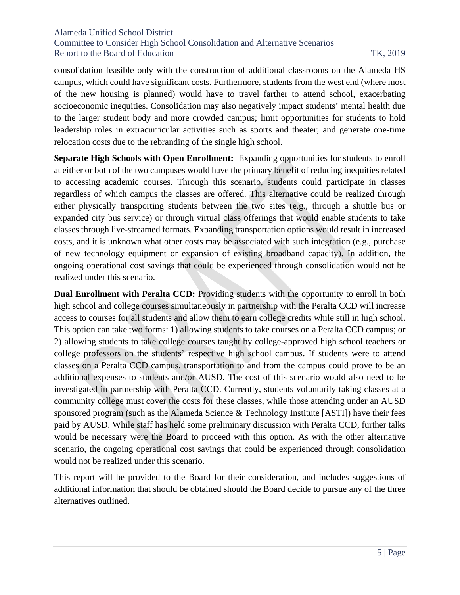consolidation feasible only with the construction of additional classrooms on the Alameda HS campus, which could have significant costs. Furthermore, students from the west end (where most of the new housing is planned) would have to travel farther to attend school, exacerbating socioeconomic inequities. Consolidation may also negatively impact students' mental health due to the larger student body and more crowded campus; limit opportunities for students to hold leadership roles in extracurricular activities such as sports and theater; and generate one-time relocation costs due to the rebranding of the single high school.

**Separate High Schools with Open Enrollment:** Expanding opportunities for students to enroll at either or both of the two campuses would have the primary benefit of reducing inequities related to accessing academic courses. Through this scenario, students could participate in classes regardless of which campus the classes are offered. This alternative could be realized through either physically transporting students between the two sites (e.g., through a shuttle bus or expanded city bus service) or through virtual class offerings that would enable students to take classes through live-streamed formats. Expanding transportation options would result in increased costs, and it is unknown what other costs may be associated with such integration (e.g., purchase of new technology equipment or expansion of existing broadband capacity). In addition, the ongoing operational cost savings that could be experienced through consolidation would not be realized under this scenario.

**Dual Enrollment with Peralta CCD:** Providing students with the opportunity to enroll in both high school and college courses simultaneously in partnership with the Peralta CCD will increase access to courses for all students and allow them to earn college credits while still in high school. This option can take two forms: 1) allowing students to take courses on a Peralta CCD campus; or 2) allowing students to take college courses taught by college-approved high school teachers or college professors on the students' respective high school campus. If students were to attend classes on a Peralta CCD campus, transportation to and from the campus could prove to be an additional expenses to students and/or AUSD. The cost of this scenario would also need to be investigated in partnership with Peralta CCD. Currently, students voluntarily taking classes at a community college must cover the costs for these classes, while those attending under an AUSD sponsored program (such as the Alameda Science & Technology Institute [ASTI]) have their fees paid by AUSD. While staff has held some preliminary discussion with Peralta CCD, further talks would be necessary were the Board to proceed with this option. As with the other alternative scenario, the ongoing operational cost savings that could be experienced through consolidation would not be realized under this scenario.

This report will be provided to the Board for their consideration, and includes suggestions of additional information that should be obtained should the Board decide to pursue any of the three alternatives outlined.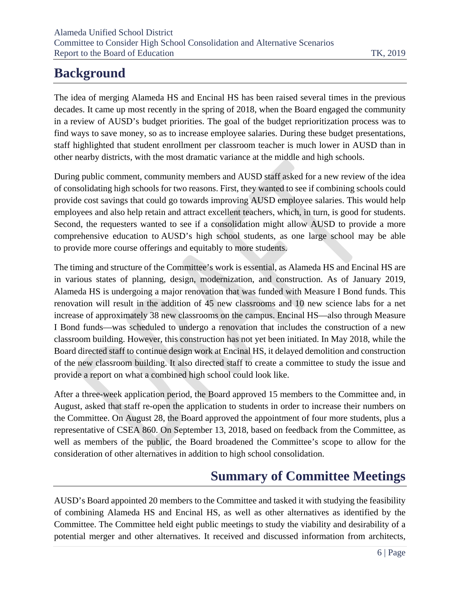# <span id="page-6-0"></span>**Background**

The idea of merging Alameda HS and Encinal HS has been raised several times in the previous decades. It came up most recently in the spring of 2018, when the Board engaged the community in a review of AUSD's [budget priorities.](https://alamedausd-ca.schoolloop.com/pf4/cms2/view_page?d=x&group_id=1514016404838&vdid=i12a1sz2h230) The goal of the budget reprioritization process was to find ways to save money, so as to increase employee salaries. During these budget presentations, staff highlighted that student enrollment per classroom teacher is much lower in AUSD than in other nearby districts, with the most dramatic variance at the middle and high schools.

During public comment, community members and AUSD staff asked for a new review of the idea of consolidating high schools for two reasons. First, they wanted to see if combining schools could provide cost savings that could go towards improving AUSD employee salaries. This would help employees and also help retain and attract excellent teachers, which, in turn, is good for students. Second, the requesters wanted to see if a consolidation might allow AUSD to provide a more comprehensive education to AUSD's high school students, as one large school may be able to provide more course offerings and equitably to more students.

The timing and structure of the Committee's work is essential, as Alameda HS and Encinal HS are in various states of planning, design, modernization, and construction. As of January 2019, Alameda HS is undergoing a major renovation that was funded with Measure I Bond funds. This renovation will result in the addition of 45 new classrooms and 10 new science labs for a net increase of approximately 38 new classrooms on the campus. Encinal HS—also through Measure I Bond funds—was scheduled to undergo a renovation that includes the construction of a new classroom building. However, this construction has not yet been initiated. In May 2018, while the Board directed staff to continue design work at Encinal HS, it delayed demolition and construction of the new classroom building. It also directed staff to create a committee to study the issue and provide a report on what a combined high school could look like.

After a three-week application period, the Board approved 15 members to the Committee and, in August, asked that staff re-open the application to students in order to increase their numbers on the Committee. On August 28, the Board approved the appointment of four more students, plus a representative of CSEA 860. On September 13, 2018, based on feedback from the Committee, as well as members of the public, the Board broadened the Committee's scope to allow for the consideration of other alternatives in addition to high school consolidation.

# **Summary of Committee Meetings**

<span id="page-6-1"></span>AUSD's Board appointed 20 members to the Committee and tasked it with studying the feasibility of combining Alameda HS and Encinal HS, as well as other alternatives as identified by the Committee. The Committee held eight public meetings to study the viability and desirability of a potential merger and other alternatives. It received and discussed information from architects,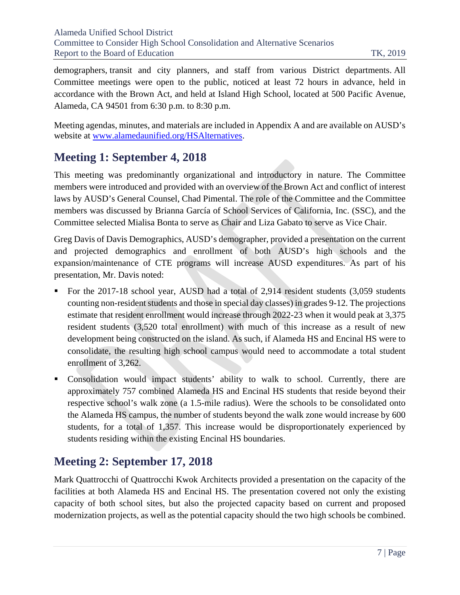demographers, transit and city planners, and staff from various District departments. All Committee meetings were open to the public, noticed at least 72 hours in advance, held in accordance with the Brown Act, and held at Island High School, located at 500 Pacific Avenue, Alameda, CA 94501 from 6:30 p.m. to 8:30 p.m.

Meeting agendas, minutes, and materials are included in Appendix A and are available on AUSD's website at [www.alamedaunified.org/HSAlternatives.](http://www.alamedaunified.org/HSAlternatives)

## <span id="page-7-0"></span>**Meeting 1: September 4, 2018**

This meeting was predominantly organizational and introductory in nature. The Committee members were introduced and provided with an overview of the Brown Act and conflict of interest laws by AUSD's General Counsel, Chad Pimental. The role of the Committee and the Committee members was discussed by Brianna García of School Services of California, Inc. (SSC), and the Committee selected Mialisa Bonta to serve as Chair and Liza Gabato to serve as Vice Chair.

Greg Davis of Davis Demographics, AUSD's demographer, provided a presentation on the current and projected demographics and enrollment of both AUSD's high schools and the expansion/maintenance of CTE programs will increase AUSD expenditures. As part of his presentation, Mr. Davis noted:

- For the 2017-18 school year, AUSD had a total of 2,914 resident students (3,059 students counting non-resident students and those in special day classes) in grades 9-12. The projections estimate that resident enrollment would increase through 2022-23 when it would peak at 3,375 resident students (3,520 total enrollment) with much of this increase as a result of new development being constructed on the island. As such, if Alameda HS and Encinal HS were to consolidate, the resulting high school campus would need to accommodate a total student enrollment of 3,262.
- Consolidation would impact students' ability to walk to school. Currently, there are approximately 757 combined Alameda HS and Encinal HS students that reside beyond their respective school's walk zone (a 1.5-mile radius). Were the schools to be consolidated onto the Alameda HS campus, the number of students beyond the walk zone would increase by 600 students, for a total of 1,357. This increase would be disproportionately experienced by students residing within the existing Encinal HS boundaries.

## <span id="page-7-1"></span>**Meeting 2: September 17, 2018**

Mark Quattrocchi of Quattrocchi Kwok Architects provided a presentation on the capacity of the facilities at both Alameda HS and Encinal HS. The presentation covered not only the existing capacity of both school sites, but also the projected capacity based on current and proposed modernization projects, as well as the potential capacity should the two high schools be combined.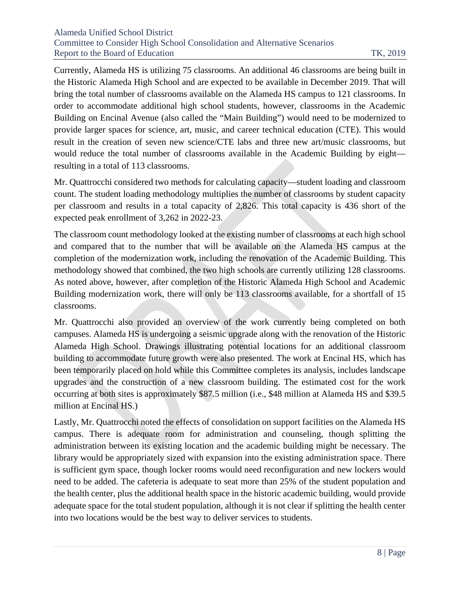Currently, Alameda HS is utilizing 75 classrooms. An additional 46 classrooms are being built in the Historic Alameda High School and are expected to be available in December 2019. That will bring the total number of classrooms available on the Alameda HS campus to 121 classrooms. In order to accommodate additional high school students, however, classrooms in the Academic Building on Encinal Avenue (also called the "Main Building") would need to be modernized to provide larger spaces for science, art, music, and career technical education (CTE). This would result in the creation of seven new science/CTE labs and three new art/music classrooms, but would reduce the total number of classrooms available in the Academic Building by eight resulting in a total of 113 classrooms.

Mr. Quattrocchi considered two methods for calculating capacity—student loading and classroom count. The student loading methodology multiplies the number of classrooms by student capacity per classroom and results in a total capacity of 2,826. This total capacity is 436 short of the expected peak enrollment of 3,262 in 2022-23.

The classroom count methodology looked at the existing number of classrooms at each high school and compared that to the number that will be available on the Alameda HS campus at the completion of the modernization work, including the renovation of the Academic Building. This methodology showed that combined, the two high schools are currently utilizing 128 classrooms. As noted above, however, after completion of the Historic Alameda High School and Academic Building modernization work, there will only be 113 classrooms available, for a shortfall of 15 classrooms.

Mr. Quattrocchi also provided an overview of the work currently being completed on both campuses. Alameda HS is undergoing a seismic upgrade along with the renovation of the Historic Alameda High School. Drawings illustrating potential locations for an additional classroom building to accommodate future growth were also presented. The work at Encinal HS, which has been temporarily placed on hold while this Committee completes its analysis, includes landscape upgrades and the construction of a new classroom building. The estimated cost for the work occurring at both sites is approximately \$87.5 million (i.e., \$48 million at Alameda HS and \$39.5 million at Encinal HS.)

Lastly, Mr. Quattrocchi noted the effects of consolidation on support facilities on the Alameda HS campus. There is adequate room for administration and counseling, though splitting the administration between its existing location and the academic building might be necessary. The library would be appropriately sized with expansion into the existing administration space. There is sufficient gym space, though locker rooms would need reconfiguration and new lockers would need to be added. The cafeteria is adequate to seat more than 25% of the student population and the health center, plus the additional health space in the historic academic building, would provide adequate space for the total student population, although it is not clear if splitting the health center into two locations would be the best way to deliver services to students.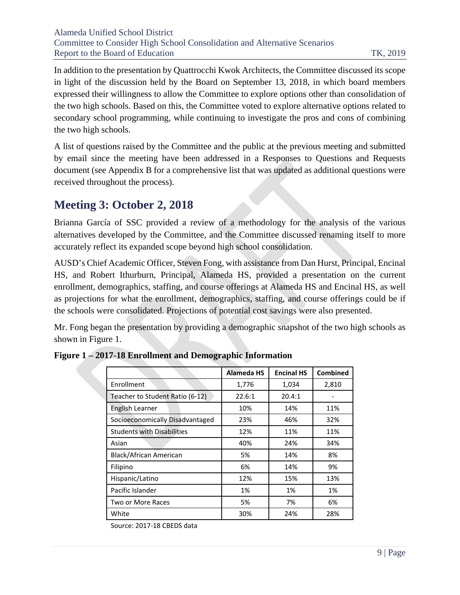In addition to the presentation by Quattrocchi Kwok Architects, the Committee discussed its scope in light of the discussion held by the Board on September 13, 2018, in which board members expressed their willingness to allow the Committee to explore options other than consolidation of the two high schools. Based on this, the Committee voted to explore alternative options related to secondary school programming, while continuing to investigate the pros and cons of combining the two high schools.

A list of questions raised by the Committee and the public at the previous meeting and submitted by email since the meeting have been addressed in a Responses to Questions and Requests document (see Appendix B for a comprehensive list that was updated as additional questions were received throughout the process).

## <span id="page-9-0"></span>**Meeting 3: October 2, 2018**

Brianna García of SSC provided a review of a methodology for the analysis of the various alternatives developed by the Committee, and the Committee discussed renaming itself to more accurately reflect its expanded scope beyond high school consolidation.

AUSD's Chief Academic Officer, Steven Fong, with assistance from Dan Hurst, Principal, Encinal HS, and Robert Ithurburn, Principal, Alameda HS, provided a presentation on the current enrollment, demographics, staffing, and course offerings at Alameda HS and Encinal HS, as well as projections for what the enrollment, demographics, staffing, and course offerings could be if the schools were consolidated. Projections of potential cost savings were also presented.

Mr. Fong began the presentation by providing a demographic snapshot of the two high schools as shown in Figure 1.

|                                   | Alameda HS | <b>Encinal HS</b> | <b>Combined</b> |
|-----------------------------------|------------|-------------------|-----------------|
| Enrollment                        | 1,776      | 1,034             | 2,810           |
| Teacher to Student Ratio (6-12)   | 22.6:1     | 20.4:1            |                 |
| English Learner                   | 10%        | 14%               | 11%             |
| Socioeconomically Disadvantaged   | 23%        | 46%               | 32%             |
| <b>Students with Disabilities</b> | 12%        | 11%               | 11%             |
| Asian                             | 40%        | 24%               | 34%             |
| Black/African American            | 5%         | 14%               | 8%              |
| Filipino                          | 6%         | 14%               | 9%              |
| Hispanic/Latino                   | 12%        | 15%               | 13%             |
| Pacific Islander                  | 1%         | 1%                | 1%              |
| Two or More Races                 | 5%         | 7%                | 6%              |
| White                             | 30%        | 24%               | 28%             |

**Figure 1 – 2017-18 Enrollment and Demographic Information**

Source: 2017-18 CBEDS data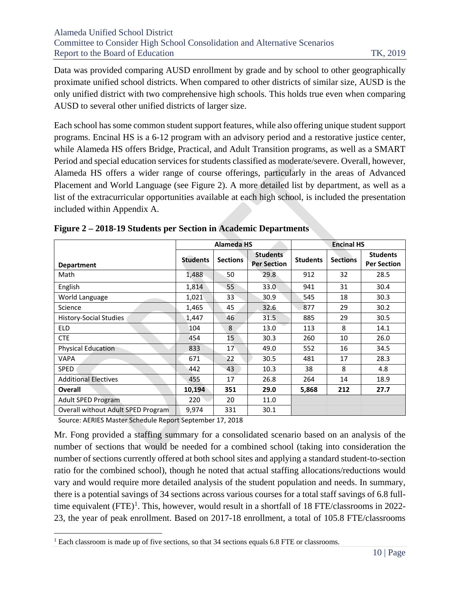Data was provided comparing AUSD enrollment by grade and by school to other geographically proximate unified school districts. When compared to other districts of similar size, AUSD is the only unified district with two comprehensive high schools. This holds true even when comparing AUSD to several other unified districts of larger size.

Each school has some common student support features, while also offering unique student support programs. Encinal HS is a 6-12 program with an advisory period and a restorative justice center, while Alameda HS offers Bridge, Practical, and Adult Transition programs, as well as a SMART Period and special education services for students classified as moderate/severe. Overall, however, Alameda HS offers a wider range of course offerings, particularly in the areas of Advanced Placement and World Language (see Figure 2). A more detailed list by department, as well as a list of the extracurricular opportunities available at each high school, is included the presentation included within Appendix A.

|                                    | <b>Alameda HS</b> |                 |                                       | <b>Encinal HS</b> |                 |                                       |
|------------------------------------|-------------------|-----------------|---------------------------------------|-------------------|-----------------|---------------------------------------|
| <b>Department</b>                  | <b>Students</b>   | <b>Sections</b> | <b>Students</b><br><b>Per Section</b> | <b>Students</b>   | <b>Sections</b> | <b>Students</b><br><b>Per Section</b> |
| Math                               | 1,488             | 50              | 29.8                                  | 912               | 32              | 28.5                                  |
| English                            | 1,814             | 55              | 33.0                                  | 941               | 31              | 30.4                                  |
| World Language                     | 1,021             | 33              | 30.9                                  | 545               | 18              | 30.3                                  |
| Science                            | 1,465             | 45              | 32.6                                  | 877               | 29              | 30.2                                  |
| History-Social Studies             | 1,447             | 46              | 31.5                                  | 885               | 29              | 30.5                                  |
| <b>ELD</b>                         | 104               | 8               | 13.0                                  | 113               | 8               | 14.1                                  |
| <b>CTE</b>                         | 454               | 15              | 30.3                                  | 260               | 10              | 26.0                                  |
| <b>Physical Education</b>          | 833               | 17              | 49.0                                  | 552               | 16              | 34.5                                  |
| <b>VAPA</b>                        | 671               | 22              | 30.5                                  | 481               | 17              | 28.3                                  |
| <b>SPED</b>                        | 442               | 43              | 10.3                                  | 38                | 8               | 4.8                                   |
| <b>Additional Electives</b>        | 455               | 17              | 26.8                                  | 264               | 14              | 18.9                                  |
| <b>Overall</b>                     | 10,194            | 351             | 29.0                                  | 5,868             | 212             | 27.7                                  |
| <b>Adult SPED Program</b>          | 220               | 20              | 11.0                                  |                   |                 |                                       |
| Overall without Adult SPED Program | 9,974             | 331             | 30.1                                  |                   |                 |                                       |

|  |  |  |  |  |  | Figure 2 – 2018-19 Students per Section in Academic Departments |
|--|--|--|--|--|--|-----------------------------------------------------------------|
|--|--|--|--|--|--|-----------------------------------------------------------------|

Source: AERIES Master Schedule Report September 17, 2018

Mr. Fong provided a staffing summary for a consolidated scenario based on an analysis of the number of sections that would be needed for a combined school (taking into consideration the number of sections currently offered at both school sites and applying a standard student-to-section ratio for the combined school), though he noted that actual staffing allocations/reductions would vary and would require more detailed analysis of the student population and needs. In summary, there is a potential savings of 34 sections across various courses for a total staff savings of 6.8 full-time equivalent (FTE)<sup>[1](#page-10-0)</sup>. This, however, would result in a shortfall of 18 FTE/classrooms in 2022-23, the year of peak enrollment. Based on 2017-18 enrollment, a total of 105.8 FTE/classrooms

<span id="page-10-0"></span><sup>&</sup>lt;sup>1</sup> Each classroom is made up of five sections, so that 34 sections equals 6.8 FTE or classrooms.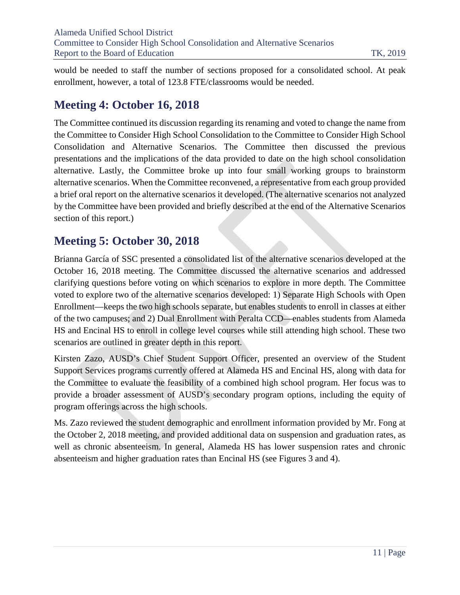would be needed to staff the number of sections proposed for a consolidated school. At peak enrollment, however, a total of 123.8 FTE/classrooms would be needed.

## <span id="page-11-0"></span>**Meeting 4: October 16, 2018**

The Committee continued its discussion regarding its renaming and voted to change the name from the Committee to Consider High School Consolidation to the Committee to Consider High School Consolidation and Alternative Scenarios. The Committee then discussed the previous presentations and the implications of the data provided to date on the high school consolidation alternative. Lastly, the Committee broke up into four small working groups to brainstorm alternative scenarios. When the Committee reconvened, a representative from each group provided a brief oral report on the alternative scenarios it developed. (The alternative scenarios not analyzed by the Committee have been provided and briefly described at the end of the Alternative Scenarios section of this report.)

## <span id="page-11-1"></span>**Meeting 5: October 30, 2018**

Brianna García of SSC presented a consolidated list of the alternative scenarios developed at the October 16, 2018 meeting. The Committee discussed the alternative scenarios and addressed clarifying questions before voting on which scenarios to explore in more depth. The Committee voted to explore two of the alternative scenarios developed: 1) Separate High Schools with Open Enrollment—keeps the two high schools separate, but enables students to enroll in classes at either of the two campuses; and 2) Dual Enrollment with Peralta CCD—enables students from Alameda HS and Encinal HS to enroll in college level courses while still attending high school. These two scenarios are outlined in greater depth in this report.

Kirsten Zazo, AUSD's Chief Student Support Officer, presented an overview of the Student Support Services programs currently offered at Alameda HS and Encinal HS, along with data for the Committee to evaluate the feasibility of a combined high school program. Her focus was to provide a broader assessment of AUSD's secondary program options, including the equity of program offerings across the high schools.

Ms. Zazo reviewed the student demographic and enrollment information provided by Mr. Fong at the October 2, 2018 meeting, and provided additional data on suspension and graduation rates, as well as chronic absenteeism. In general, Alameda HS has lower suspension rates and chronic absenteeism and higher graduation rates than Encinal HS (see Figures 3 and 4).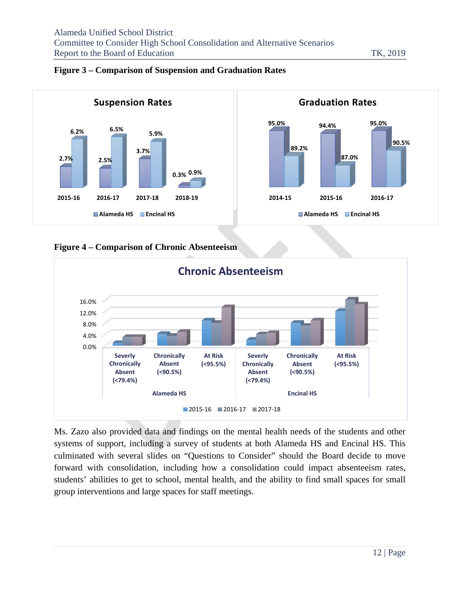

#### **Figure 3 – Comparison of Suspension and Graduation Rates**





Ms. Zazo also provided data and findings on the mental health needs of the students and other systems of support, including a survey of students at both Alameda HS and Encinal HS. This culminated with several slides on "Questions to Consider" should the Board decide to move forward with consolidation, including how a consolidation could impact absenteeism rates, students' abilities to get to school, mental health, and the ability to find small spaces for small group interventions and large spaces for staff meetings.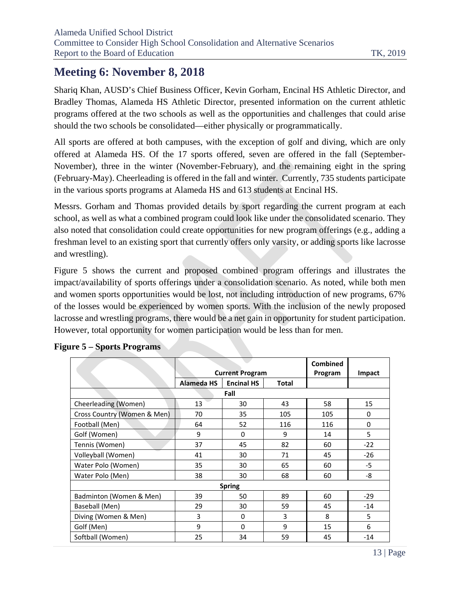## <span id="page-13-0"></span>**Meeting 6: November 8, 2018**

Shariq Khan, AUSD's Chief Business Officer, Kevin Gorham, Encinal HS Athletic Director, and Bradley Thomas, Alameda HS Athletic Director, presented information on the current athletic programs offered at the two schools as well as the opportunities and challenges that could arise should the two schools be consolidated—either physically or programmatically.

All sports are offered at both campuses, with the exception of golf and diving, which are only offered at Alameda HS. Of the 17 sports offered, seven are offered in the fall (September-November), three in the winter (November-February), and the remaining eight in the spring (February-May). Cheerleading is offered in the fall and winter. Currently, 735 students participate in the various sports programs at Alameda HS and 613 students at Encinal HS.

Messrs. Gorham and Thomas provided details by sport regarding the current program at each school, as well as what a combined program could look like under the consolidated scenario. They also noted that consolidation could create opportunities for new program offerings (e.g., adding a freshman level to an existing sport that currently offers only varsity, or adding sports like lacrosse and wrestling).

Figure 5 shows the current and proposed combined program offerings and illustrates the impact/availability of sports offerings under a consolidation scenario. As noted, while both men and women sports opportunities would be lost, not including introduction of new programs, 67% of the losses would be experienced by women sports. With the inclusion of the newly proposed lacrosse and wrestling programs, there would be a net gain in opportunity for student participation. However, total opportunity for women participation would be less than for men.

|                             |                   | <b>Current Program</b> | <b>Combined</b><br>Program | Impact |       |  |
|-----------------------------|-------------------|------------------------|----------------------------|--------|-------|--|
|                             | <b>Alameda HS</b> | <b>Encinal HS</b>      | <b>Total</b>               |        |       |  |
| Fall                        |                   |                        |                            |        |       |  |
| Cheerleading (Women)        | 13                | 30                     | 43                         | 58     | 15    |  |
| Cross Country (Women & Men) | 70                | 35                     | 105                        | 105    | 0     |  |
| Football (Men)              | 64                | 52                     | 116                        | 116    | 0     |  |
| Golf (Women)                | 9                 | 0                      | 9                          | 14     | 5     |  |
| Tennis (Women)              | 37                | 45                     | 82                         | 60     | $-22$ |  |
| Volleyball (Women)          | 41                | 30                     | 71                         | 45     | $-26$ |  |
| Water Polo (Women)          | 35                | 30                     | 65                         | 60     | $-5$  |  |
| Water Polo (Men)            | 38                | 68<br>30               |                            | 60     | -8    |  |
| <b>Spring</b>               |                   |                        |                            |        |       |  |
| Badminton (Women & Men)     | 39                | 50                     | 89                         | 60     | $-29$ |  |
| Baseball (Men)              | 29                | 30                     | 59                         | 45     | $-14$ |  |
| Diving (Women & Men)        | 3                 | 0                      | 3                          | 8      | 5     |  |
| Golf (Men)                  | 9                 | $\Omega$               | 9                          | 15     | 6     |  |
| Softball (Women)            | 25                | 34                     | 59                         | 45     | $-14$ |  |

|  | <b>Figure 5 – Sports Programs</b> |
|--|-----------------------------------|
|  |                                   |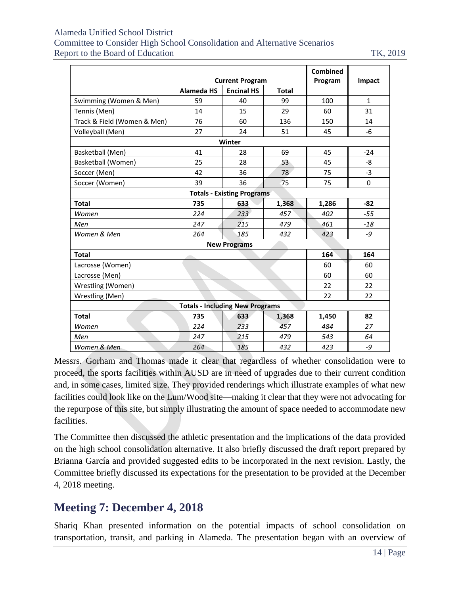#### Alameda Unified School District Committee to Consider High School Consolidation and Alternative Scenarios Report to the Board of Education TK, 2019

|                                        |                   | <b>Combined</b>                   |              |        |              |  |  |
|----------------------------------------|-------------------|-----------------------------------|--------------|--------|--------------|--|--|
|                                        |                   | <b>Current Program</b>            | Program      | Impact |              |  |  |
|                                        | <b>Alameda HS</b> | <b>Encinal HS</b>                 | <b>Total</b> |        |              |  |  |
| Swimming (Women & Men)                 | 59                | 40                                | 99           | 100    | $\mathbf{1}$ |  |  |
| Tennis (Men)                           | 14                | 15                                | 29           | 60     | 31           |  |  |
| Track & Field (Women & Men)            | 76                | 60                                | 136          | 150    | 14           |  |  |
| Volleyball (Men)                       | 27                | 24                                | 51           | 45     | $-6$         |  |  |
|                                        |                   | Winter                            |              |        |              |  |  |
| Basketball (Men)                       | 41                | 28                                | 69           | 45     | $-24$        |  |  |
| Basketball (Women)                     | 25                | 28                                | 53           | 45     | -8           |  |  |
| Soccer (Men)                           | 42                | 36                                | 78           | 75     | $-3$         |  |  |
| Soccer (Women)                         | 39                | 36                                | 75           | 75     | $\Omega$     |  |  |
|                                        |                   | <b>Totals - Existing Programs</b> |              |        |              |  |  |
| <b>Total</b>                           | 735               | 633                               | 1,368        | 1,286  | $-82$        |  |  |
| Women                                  | 224               | 233                               | 457          | 402    | $-55$        |  |  |
| Men                                    | 215<br>247        |                                   | 479          | 461    | $-18$        |  |  |
| Women & Men                            | 264               | 185                               | 432          | 423    | $-9$         |  |  |
| <b>New Programs</b>                    |                   |                                   |              |        |              |  |  |
| 164<br><b>Total</b><br>164             |                   |                                   |              |        |              |  |  |
| Lacrosse (Women)                       |                   |                                   |              | 60     | 60           |  |  |
| Lacrosse (Men)<br>60<br>60             |                   |                                   |              |        |              |  |  |
| Wrestling (Women)<br>22<br>22          |                   |                                   |              |        |              |  |  |
| Wrestling (Men)<br>22<br>22            |                   |                                   |              |        |              |  |  |
| <b>Totals - Including New Programs</b> |                   |                                   |              |        |              |  |  |
| <b>Total</b>                           | 735               | 633                               | 1,368        | 1,450  | 82           |  |  |
| Women                                  | 224               | 233                               | 457          | 484    | 27           |  |  |
| Men                                    | 247               | 215                               | 479          | 543    | 64           |  |  |
| Women & Men                            | 264               | 185                               | 432          | 423    | -9           |  |  |

Messrs. Gorham and Thomas made it clear that regardless of whether consolidation were to proceed, the sports facilities within AUSD are in need of upgrades due to their current condition and, in some cases, limited size. They provided renderings which illustrate examples of what new facilities could look like on the Lum/Wood site—making it clear that they were not advocating for the repurpose of this site, but simply illustrating the amount of space needed to accommodate new facilities.

The Committee then discussed the athletic presentation and the implications of the data provided on the high school consolidation alternative. It also briefly discussed the draft report prepared by Brianna García and provided suggested edits to be incorporated in the next revision. Lastly, the Committee briefly discussed its expectations for the presentation to be provided at the December 4, 2018 meeting.

## <span id="page-14-0"></span>**Meeting 7: December 4, 2018**

Shariq Khan presented information on the potential impacts of school consolidation on transportation, transit, and parking in Alameda. The presentation began with an overview of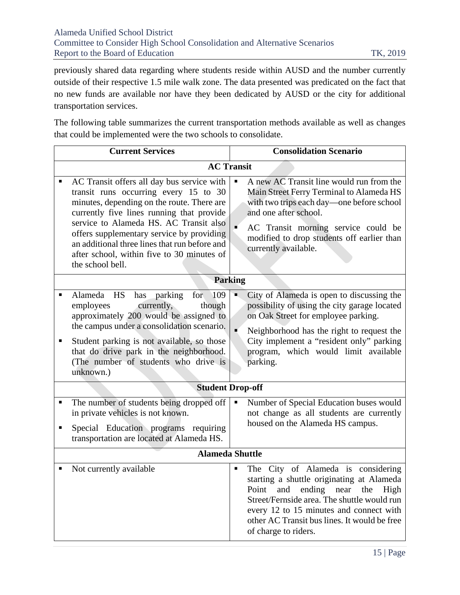previously shared data regarding where students reside within AUSD and the number currently outside of their respective 1.5 mile walk zone. The data presented was predicated on the fact that no new funds are available nor have they been dedicated by AUSD or the city for additional transportation services.

The following table summarizes the current transportation methods available as well as changes that could be implemented were the two schools to consolidate.

|        | <b>Current Services</b>                                                                                                                                                                                                                                                                                                                                                                  |   | <b>Consolidation Scenario</b>                                                                                                                                                                                                                                                                   |  |  |  |  |
|--------|------------------------------------------------------------------------------------------------------------------------------------------------------------------------------------------------------------------------------------------------------------------------------------------------------------------------------------------------------------------------------------------|---|-------------------------------------------------------------------------------------------------------------------------------------------------------------------------------------------------------------------------------------------------------------------------------------------------|--|--|--|--|
|        | <b>AC Transit</b>                                                                                                                                                                                                                                                                                                                                                                        |   |                                                                                                                                                                                                                                                                                                 |  |  |  |  |
|        | AC Transit offers all day bus service with<br>transit runs occurring every 15 to 30<br>minutes, depending on the route. There are<br>currently five lines running that provide<br>service to Alameda HS. AC Transit also<br>offers supplementary service by providing<br>an additional three lines that run before and<br>after school, within five to 30 minutes of<br>the school bell. |   | A new AC Transit line would run from the<br>Main Street Ferry Terminal to Alameda HS<br>with two trips each day—one before school<br>and one after school.<br>AC Transit morning service could be<br>modified to drop students off earlier than<br>currently available.                         |  |  |  |  |
|        | <b>Parking</b>                                                                                                                                                                                                                                                                                                                                                                           |   |                                                                                                                                                                                                                                                                                                 |  |  |  |  |
| п      | HS<br>Alameda<br>parking<br>for<br>109<br>has<br>currently,<br>employees<br>though<br>approximately 200 would be assigned to<br>the campus under a consolidation scenario.                                                                                                                                                                                                               |   | City of Alameda is open to discussing the<br>possibility of using the city garage located<br>on Oak Street for employee parking.<br>Neighborhood has the right to request the                                                                                                                   |  |  |  |  |
| п      | Student parking is not available, so those<br>that do drive park in the neighborhood.<br>(The number of students who drive is<br>unknown.)                                                                                                                                                                                                                                               |   | City implement a "resident only" parking<br>program, which would limit available<br>parking.                                                                                                                                                                                                    |  |  |  |  |
|        | <b>Student Drop-off</b>                                                                                                                                                                                                                                                                                                                                                                  |   |                                                                                                                                                                                                                                                                                                 |  |  |  |  |
| п<br>п | The number of students being dropped off<br>in private vehicles is not known.<br>Special Education programs requiring<br>transportation are located at Alameda HS.                                                                                                                                                                                                                       | Е | Number of Special Education buses would<br>not change as all students are currently<br>housed on the Alameda HS campus.                                                                                                                                                                         |  |  |  |  |
|        | <b>Alameda Shuttle</b>                                                                                                                                                                                                                                                                                                                                                                   |   |                                                                                                                                                                                                                                                                                                 |  |  |  |  |
|        | Not currently available                                                                                                                                                                                                                                                                                                                                                                  |   | The City of Alameda is considering<br>starting a shuttle originating at Alameda<br>Point<br>and<br>ending near<br>High<br>the<br>Street/Fernside area. The shuttle would run<br>every 12 to 15 minutes and connect with<br>other AC Transit bus lines. It would be free<br>of charge to riders. |  |  |  |  |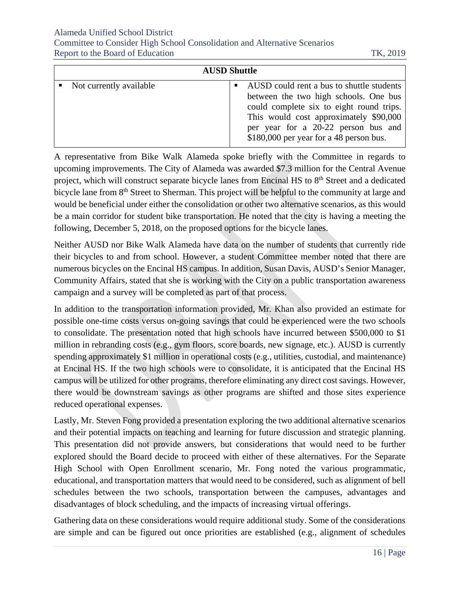#### Alameda Unified School District

Committee to Consider High School Consolidation and Alternative Scenarios Report to the Board of Education TK, 2019

| <b>AUSD Shuttle</b> |                           |  |                                                                                                                                                                                                                                                             |
|---------------------|---------------------------|--|-------------------------------------------------------------------------------------------------------------------------------------------------------------------------------------------------------------------------------------------------------------|
|                     | • Not currently available |  | AUSD could rent a bus to shuttle students<br>between the two high schools. One bus<br>could complete six to eight round trips.<br>This would cost approximately \$90,000<br>per year for a 20-22 person bus and<br>$$180,000$ per year for a 48 person bus. |

A representative from Bike Walk Alameda spoke briefly with the Committee in regards to upcoming improvements. The City of Alameda was awarded \$7.3 million for the Central Avenue project, which will construct separate bicycle lanes from Encinal HS to 8<sup>th</sup> Street and a dedicated bicycle lane from 8<sup>th</sup> Street to Sherman. This project will be helpful to the community at large and would be beneficial under either the consolidation or other two alternative scenarios, as this would be a main corridor for student bike transportation. He noted that the city is having a meeting the following, December 5, 2018, on the proposed options for the bicycle lanes.

Neither AUSD nor Bike Walk Alameda have data on the number of students that currently ride their bicycles to and from school. However, a student Committee member noted that there are numerous bicycles on the Encinal HS campus. In addition, Susan Davis, AUSD's Senior Manager, Community Affairs, stated that she is working with the City on a public transportation awareness campaign and a survey will be completed as part of that process.

In addition to the transportation information provided, Mr. Khan also provided an estimate for possible one-time costs versus on-going savings that could be experienced were the two schools to consolidate. The presentation noted that high schools have incurred between \$500,000 to \$1 million in rebranding costs (e.g., gym floors, score boards, new signage, etc.). AUSD is currently spending approximately \$1 million in operational costs (e.g., utilities, custodial, and maintenance) at Encinal HS. If the two high schools were to consolidate, it is anticipated that the Encinal HS campus will be utilized for other programs, therefore eliminating any direct cost savings. However, there would be downstream savings as other programs are shifted and those sites experience reduced operational expenses.

Lastly, Mr. Steven Fong provided a presentation exploring the two additional alternative scenarios and their potential impacts on teaching and learning for future discussion and strategic planning. This presentation did not provide answers, but considerations that would need to be further explored should the Board decide to proceed with either of these alternatives. For the Separate High School with Open Enrollment scenario, Mr. Fong noted the various programmatic, educational, and transportation matters that would need to be considered, such as alignment of bell schedules between the two schools, transportation between the campuses, advantages and disadvantages of block scheduling, and the impacts of increasing virtual offerings.

Gathering data on these considerations would require additional study. Some of the considerations are simple and can be figured out once priorities are established (e.g., alignment of schedules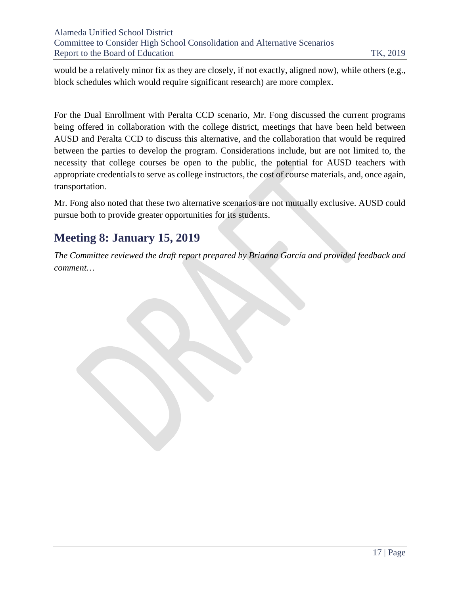would be a relatively minor fix as they are closely, if not exactly, aligned now), while others (e.g., block schedules which would require significant research) are more complex.

For the Dual Enrollment with Peralta CCD scenario, Mr. Fong discussed the current programs being offered in collaboration with the college district, meetings that have been held between AUSD and Peralta CCD to discuss this alternative, and the collaboration that would be required between the parties to develop the program. Considerations include, but are not limited to, the necessity that college courses be open to the public, the potential for AUSD teachers with appropriate credentials to serve as college instructors, the cost of course materials, and, once again, transportation.

Mr. Fong also noted that these two alternative scenarios are not mutually exclusive. AUSD could pursue both to provide greater opportunities for its students.

## <span id="page-17-0"></span>**Meeting 8: January 15, 2019**

*The Committee reviewed the draft report prepared by Brianna García and provided feedback and comment…*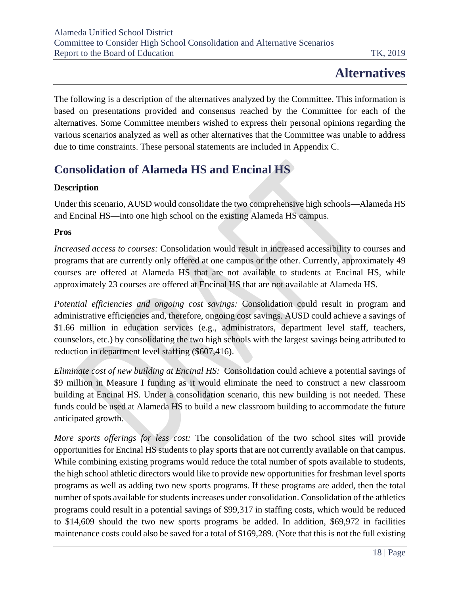# **Alternatives**

<span id="page-18-0"></span>The following is a description of the alternatives analyzed by the Committee. This information is based on presentations provided and consensus reached by the Committee for each of the alternatives. Some Committee members wished to express their personal opinions regarding the various scenarios analyzed as well as other alternatives that the Committee was unable to address due to time constraints. These personal statements are included in Appendix C.

## <span id="page-18-1"></span>**Consolidation of Alameda HS and Encinal HS**

## **Description**

Under this scenario, AUSD would consolidate the two comprehensive high schools—Alameda HS and Encinal HS—into one high school on the existing Alameda HS campus.

## **Pros**

*Increased access to courses:* Consolidation would result in increased accessibility to courses and programs that are currently only offered at one campus or the other. Currently, approximately 49 courses are offered at Alameda HS that are not available to students at Encinal HS, while approximately 23 courses are offered at Encinal HS that are not available at Alameda HS.

*Potential efficiencies and ongoing cost savings:* Consolidation could result in program and administrative efficiencies and, therefore, ongoing cost savings. AUSD could achieve a savings of \$1.66 million in education services (e.g., administrators, department level staff, teachers, counselors, etc.) by consolidating the two high schools with the largest savings being attributed to reduction in department level staffing (\$607,416).

*Eliminate cost of new building at Encinal HS:* Consolidation could achieve a potential savings of \$9 million in Measure I funding as it would eliminate the need to construct a new classroom building at Encinal HS. Under a consolidation scenario, this new building is not needed. These funds could be used at Alameda HS to build a new classroom building to accommodate the future anticipated growth.

*More sports offerings for less cost:* The consolidation of the two school sites will provide opportunities for Encinal HS students to play sports that are not currently available on that campus. While combining existing programs would reduce the total number of spots available to students, the high school athletic directors would like to provide new opportunities for freshman level sports programs as well as adding two new sports programs. If these programs are added, then the total number of spots available for students increases under consolidation. Consolidation of the athletics programs could result in a potential savings of \$99,317 in staffing costs, which would be reduced to \$14,609 should the two new sports programs be added. In addition, \$69,972 in facilities maintenance costs could also be saved for a total of \$169,289. (Note that this is not the full existing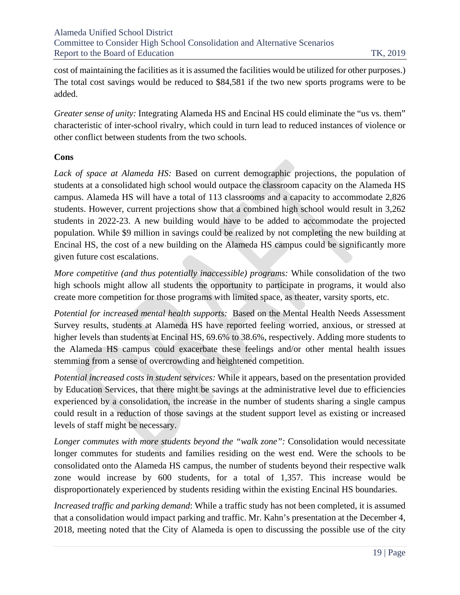cost of maintaining the facilities as it is assumed the facilities would be utilized for other purposes.) The total cost savings would be reduced to \$84,581 if the two new sports programs were to be added.

*Greater sense of unity:* Integrating Alameda HS and Encinal HS could eliminate the "us vs. them" characteristic of inter-school rivalry, which could in turn lead to reduced instances of violence or other conflict between students from the two schools.

#### **Cons**

*Lack of space at Alameda HS:* Based on current demographic projections, the population of students at a consolidated high school would outpace the classroom capacity on the Alameda HS campus. Alameda HS will have a total of 113 classrooms and a capacity to accommodate 2,826 students. However, current projections show that a combined high school would result in 3,262 students in 2022-23. A new building would have to be added to accommodate the projected population. While \$9 million in savings could be realized by not completing the new building at Encinal HS, the cost of a new building on the Alameda HS campus could be significantly more given future cost escalations.

*More competitive (and thus potentially inaccessible) programs:* While consolidation of the two high schools might allow all students the opportunity to participate in programs, it would also create more competition for those programs with limited space, as theater, varsity sports, etc.

*Potential for increased mental health supports:* Based on the Mental Health Needs Assessment Survey results, students at Alameda HS have reported feeling worried, anxious, or stressed at higher levels than students at Encinal HS, 69.6% to 38.6%, respectively. Adding more students to the Alameda HS campus could exacerbate these feelings and/or other mental health issues stemming from a sense of overcrowding and heightened competition.

*Potential increased costs in student services:* While it appears, based on the presentation provided by Education Services, that there might be savings at the administrative level due to efficiencies experienced by a consolidation, the increase in the number of students sharing a single campus could result in a reduction of those savings at the student support level as existing or increased levels of staff might be necessary.

*Longer commutes with more students beyond the "walk zone":* Consolidation would necessitate longer commutes for students and families residing on the west end. Were the schools to be consolidated onto the Alameda HS campus, the number of students beyond their respective walk zone would increase by 600 students, for a total of 1,357. This increase would be disproportionately experienced by students residing within the existing Encinal HS boundaries.

*Increased traffic and parking demand*: While a traffic study has not been completed, it is assumed that a consolidation would impact parking and traffic. Mr. Kahn's presentation at the December 4, 2018, meeting noted that the City of Alameda is open to discussing the possible use of the city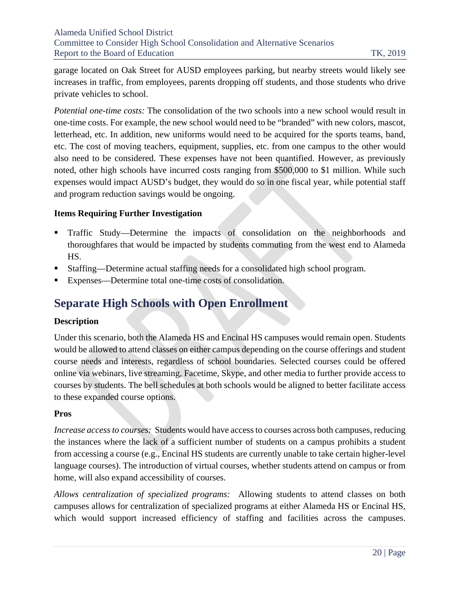garage located on Oak Street for AUSD employees parking, but nearby streets would likely see increases in traffic, from employees, parents dropping off students, and those students who drive private vehicles to school.

*Potential one-time costs:* The consolidation of the two schools into a new school would result in one-time costs. For example, the new school would need to be "branded" with new colors, mascot, letterhead, etc. In addition, new uniforms would need to be acquired for the sports teams, band, etc. The cost of moving teachers, equipment, supplies, etc. from one campus to the other would also need to be considered. These expenses have not been quantified. However, as previously noted, other high schools have incurred costs ranging from \$500,000 to \$1 million. While such expenses would impact AUSD's budget, they would do so in one fiscal year, while potential staff and program reduction savings would be ongoing.

#### **Items Requiring Further Investigation**

- Traffic Study—Determine the impacts of consolidation on the neighborhoods and thoroughfares that would be impacted by students commuting from the west end to Alameda HS.
- Staffing—Determine actual staffing needs for a consolidated high school program.
- Expenses—Determine total one-time costs of consolidation.

## <span id="page-20-0"></span>**Separate High Schools with Open Enrollment**

## **Description**

Under this scenario, both the Alameda HS and Encinal HS campuses would remain open. Students would be allowed to attend classes on either campus depending on the course offerings and student course needs and interests, regardless of school boundaries. Selected courses could be offered online via webinars, live streaming, Facetime, Skype, and other media to further provide access to courses by students. The bell schedules at both schools would be aligned to better facilitate access to these expanded course options.

#### **Pros**

*Increase access to courses:* Students would have access to courses across both campuses, reducing the instances where the lack of a sufficient number of students on a campus prohibits a student from accessing a course (e.g., Encinal HS students are currently unable to take certain higher-level language courses). The introduction of virtual courses, whether students attend on campus or from home, will also expand accessibility of courses.

*Allows centralization of specialized programs:* Allowing students to attend classes on both campuses allows for centralization of specialized programs at either Alameda HS or Encinal HS, which would support increased efficiency of staffing and facilities across the campuses.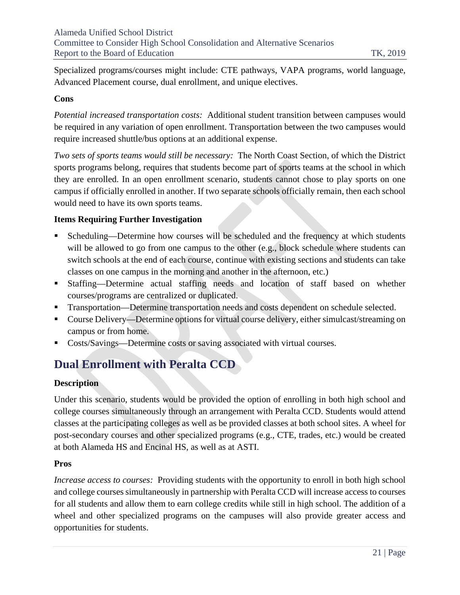Specialized programs/courses might include: CTE pathways, VAPA programs, world language, Advanced Placement course, dual enrollment, and unique electives.

#### **Cons**

*Potential increased transportation costs:* Additional student transition between campuses would be required in any variation of open enrollment. Transportation between the two campuses would require increased shuttle/bus options at an additional expense.

*Two sets of sports teams would still be necessary:* The North Coast Section, of which the District sports programs belong, requires that students become part of sports teams at the school in which they are enrolled. In an open enrollment scenario, students cannot chose to play sports on one campus if officially enrolled in another. If two separate schools officially remain, then each school would need to have its own sports teams.

#### **Items Requiring Further Investigation**

- Scheduling—Determine how courses will be scheduled and the frequency at which students will be allowed to go from one campus to the other (e.g., block schedule where students can switch schools at the end of each course, continue with existing sections and students can take classes on one campus in the morning and another in the afternoon, etc.)
- Staffing—Determine actual staffing needs and location of staff based on whether courses/programs are centralized or duplicated.
- Transportation—Determine transportation needs and costs dependent on schedule selected.
- Course Delivery—Determine options for virtual course delivery, either simulcast/streaming on campus or from home.
- Costs/Savings—Determine costs or saving associated with virtual courses.

## <span id="page-21-0"></span>**Dual Enrollment with Peralta CCD**

## **Description**

Under this scenario, students would be provided the option of enrolling in both high school and college courses simultaneously through an arrangement with Peralta CCD. Students would attend classes at the participating colleges as well as be provided classes at both school sites. A wheel for post-secondary courses and other specialized programs (e.g., CTE, trades, etc.) would be created at both Alameda HS and Encinal HS, as well as at ASTI.

#### **Pros**

*Increase access to courses:* Providing students with the opportunity to enroll in both high school and college courses simultaneously in partnership with Peralta CCD will increase access to courses for all students and allow them to earn college credits while still in high school. The addition of a wheel and other specialized programs on the campuses will also provide greater access and opportunities for students.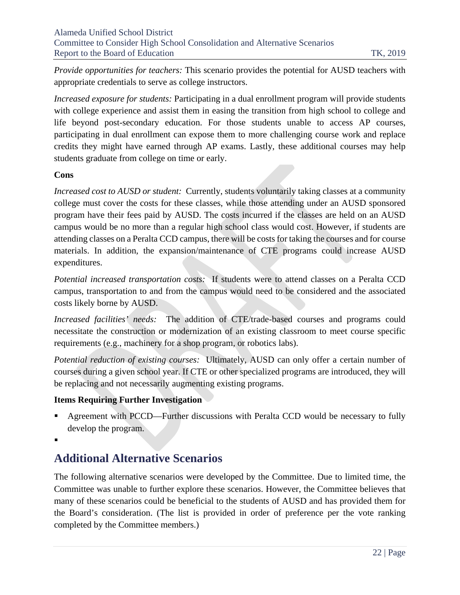*Provide opportunities for teachers:* This scenario provides the potential for AUSD teachers with appropriate credentials to serve as college instructors.

*Increased exposure for students:* Participating in a dual enrollment program will provide students with college experience and assist them in easing the transition from high school to college and life beyond post-secondary education. For those students unable to access AP courses, participating in dual enrollment can expose them to more challenging course work and replace credits they might have earned through AP exams. Lastly, these additional courses may help students graduate from college on time or early.

#### **Cons**

*Increased cost to AUSD or student:* Currently, students voluntarily taking classes at a community college must cover the costs for these classes, while those attending under an AUSD sponsored program have their fees paid by AUSD. The costs incurred if the classes are held on an AUSD campus would be no more than a regular high school class would cost. However, if students are attending classes on a Peralta CCD campus, there will be costs for taking the courses and for course materials. In addition, the expansion/maintenance of CTE programs could increase AUSD expenditures.

*Potential increased transportation costs:* If students were to attend classes on a Peralta CCD campus, transportation to and from the campus would need to be considered and the associated costs likely borne by AUSD.

*Increased facilities' needs:* The addition of CTE/trade-based courses and programs could necessitate the construction or modernization of an existing classroom to meet course specific requirements (e.g., machinery for a shop program, or robotics labs).

*Potential reduction of existing courses:* Ultimately, AUSD can only offer a certain number of courses during a given school year. If CTE or other specialized programs are introduced, they will be replacing and not necessarily augmenting existing programs.

## **Items Requiring Further Investigation**

 Agreement with PCCD—Further discussions with Peralta CCD would be necessary to fully develop the program.

.

## <span id="page-22-0"></span>**Additional Alternative Scenarios**

The following alternative scenarios were developed by the Committee. Due to limited time, the Committee was unable to further explore these scenarios. However, the Committee believes that many of these scenarios could be beneficial to the students of AUSD and has provided them for the Board's consideration. (The list is provided in order of preference per the vote ranking completed by the Committee members.)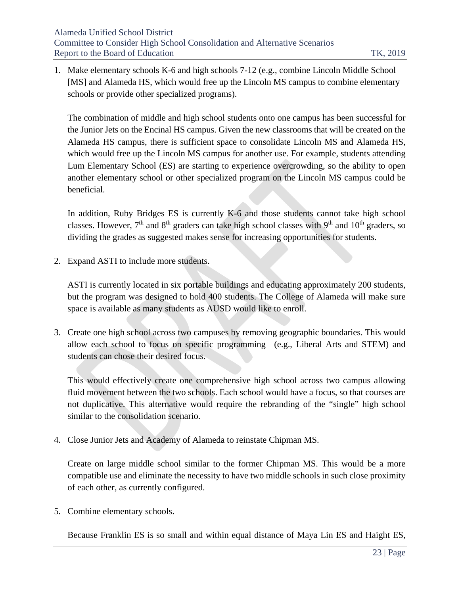1. Make elementary schools K-6 and high schools 7-12 (e.g., combine Lincoln Middle School [MS] and Alameda HS, which would free up the Lincoln MS campus to combine elementary schools or provide other specialized programs).

The combination of middle and high school students onto one campus has been successful for the Junior Jets on the Encinal HS campus. Given the new classrooms that will be created on the Alameda HS campus, there is sufficient space to consolidate Lincoln MS and Alameda HS, which would free up the Lincoln MS campus for another use. For example, students attending Lum Elementary School (ES) are starting to experience overcrowding, so the ability to open another elementary school or other specialized program on the Lincoln MS campus could be beneficial.

In addition, Ruby Bridges ES is currently K-6 and those students cannot take high school classes. However,  $7<sup>th</sup>$  and  $8<sup>th</sup>$  graders can take high school classes with  $9<sup>th</sup>$  and  $10<sup>th</sup>$  graders, so dividing the grades as suggested makes sense for increasing opportunities for students.

2. Expand ASTI to include more students.

ASTI is currently located in six portable buildings and educating approximately 200 students, but the program was designed to hold 400 students. The College of Alameda will make sure space is available as many students as AUSD would like to enroll.

3. Create one high school across two campuses by removing geographic boundaries. This would allow each school to focus on specific programming (e.g., Liberal Arts and STEM) and students can chose their desired focus.

This would effectively create one comprehensive high school across two campus allowing fluid movement between the two schools. Each school would have a focus, so that courses are not duplicative. This alternative would require the rebranding of the "single" high school similar to the consolidation scenario.

4. Close Junior Jets and Academy of Alameda to reinstate Chipman MS.

Create on large middle school similar to the former Chipman MS. This would be a more compatible use and eliminate the necessity to have two middle schools in such close proximity of each other, as currently configured.

5. Combine elementary schools.

Because Franklin ES is so small and within equal distance of Maya Lin ES and Haight ES,